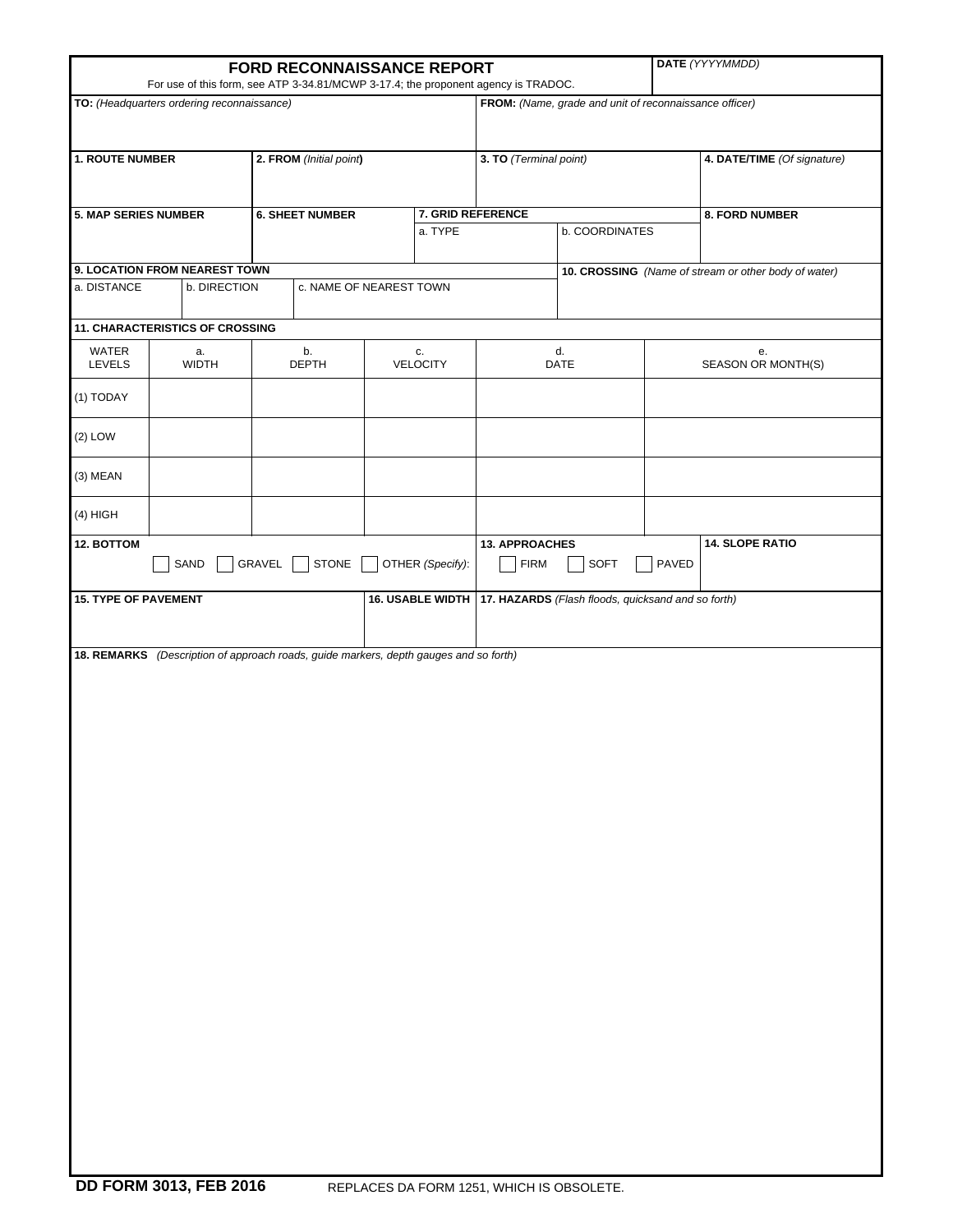|                                                                                                                                  |                                                                                       | FORD RECONNAISSANCE REPORT |                    | DATE (YYYYMMDD)              |                        |                                                        |                                                       |                             |                          |  |
|----------------------------------------------------------------------------------------------------------------------------------|---------------------------------------------------------------------------------------|----------------------------|--------------------|------------------------------|------------------------|--------------------------------------------------------|-------------------------------------------------------|-----------------------------|--------------------------|--|
| For use of this form, see ATP 3-34.81/MCWP 3-17.4; the proponent agency is TRADOC.<br>TO: (Headquarters ordering reconnaissance) |                                                                                       |                            |                    |                              |                        | FROM: (Name, grade and unit of reconnaissance officer) |                                                       |                             |                          |  |
| <b>1. ROUTE NUMBER</b>                                                                                                           | 2. FROM (Initial point)                                                               |                            |                    |                              | 3. TO (Terminal point) |                                                        |                                                       | 4. DATE/TIME (Of signature) |                          |  |
| <b>5. MAP SERIES NUMBER</b>                                                                                                      | <b>6. SHEET NUMBER</b>                                                                |                            |                    | 7. GRID REFERENCE<br>a. TYPE |                        | b. COORDINATES                                         |                                                       | 8. FORD NUMBER              |                          |  |
| 9. LOCATION FROM NEAREST TOWN                                                                                                    |                                                                                       |                            |                    |                              |                        |                                                        | 10. CROSSING (Name of stream or other body of water)  |                             |                          |  |
| a. DISTANCE                                                                                                                      | b. DIRECTION<br>c. NAME OF NEAREST TOWN                                               |                            |                    |                              |                        |                                                        |                                                       |                             |                          |  |
|                                                                                                                                  | 11. CHARACTERISTICS OF CROSSING                                                       |                            |                    |                              |                        |                                                        |                                                       |                             |                          |  |
| WATER<br><b>LEVELS</b>                                                                                                           | a.<br><b>WIDTH</b>                                                                    |                            | b.<br><b>DEPTH</b> | c.<br>VELOCITY               |                        | d.<br>DATE                                             |                                                       |                             | е.<br>SEASON OR MONTH(S) |  |
| (1) TODAY                                                                                                                        |                                                                                       |                            |                    |                              |                        |                                                        |                                                       |                             |                          |  |
| $(2)$ LOW                                                                                                                        |                                                                                       |                            |                    |                              |                        |                                                        |                                                       |                             |                          |  |
| (3) MEAN                                                                                                                         |                                                                                       |                            |                    |                              |                        |                                                        |                                                       |                             |                          |  |
| $(4)$ HIGH                                                                                                                       |                                                                                       |                            |                    |                              |                        |                                                        |                                                       |                             |                          |  |
| 12. BOTTOM<br>SAND<br>GRAVEL<br><b>STONE</b>                                                                                     |                                                                                       |                            |                    |                              | OTHER (Specify):       |                                                        | <b>13. APPROACHES</b><br>PAVED<br><b>FIRM</b><br>SOFT |                             | <b>14. SLOPE RATIO</b>   |  |
| <b>15. TYPE OF PAVEMENT</b>                                                                                                      |                                                                                       |                            |                    |                              | 16. USABLE WIDTH       |                                                        | 17. HAZARDS (Flash floods, quicksand and so forth)    |                             |                          |  |
|                                                                                                                                  |                                                                                       |                            |                    |                              |                        |                                                        |                                                       |                             |                          |  |
|                                                                                                                                  | 18. REMARKS (Description of approach roads, guide markers, depth gauges and so forth) |                            |                    |                              |                        |                                                        |                                                       |                             |                          |  |
|                                                                                                                                  |                                                                                       |                            |                    |                              |                        |                                                        |                                                       |                             |                          |  |
|                                                                                                                                  |                                                                                       |                            |                    |                              |                        |                                                        |                                                       |                             |                          |  |
|                                                                                                                                  |                                                                                       |                            |                    |                              |                        |                                                        |                                                       |                             |                          |  |
|                                                                                                                                  |                                                                                       |                            |                    |                              |                        |                                                        |                                                       |                             |                          |  |
|                                                                                                                                  |                                                                                       |                            |                    |                              |                        |                                                        |                                                       |                             |                          |  |
|                                                                                                                                  |                                                                                       |                            |                    |                              |                        |                                                        |                                                       |                             |                          |  |
|                                                                                                                                  |                                                                                       |                            |                    |                              |                        |                                                        |                                                       |                             |                          |  |
|                                                                                                                                  |                                                                                       |                            |                    |                              |                        |                                                        |                                                       |                             |                          |  |
|                                                                                                                                  |                                                                                       |                            |                    |                              |                        |                                                        |                                                       |                             |                          |  |
|                                                                                                                                  |                                                                                       |                            |                    |                              |                        |                                                        |                                                       |                             |                          |  |
|                                                                                                                                  |                                                                                       |                            |                    |                              |                        |                                                        |                                                       |                             |                          |  |
|                                                                                                                                  |                                                                                       |                            |                    |                              |                        |                                                        |                                                       |                             |                          |  |
|                                                                                                                                  |                                                                                       |                            |                    |                              |                        |                                                        |                                                       |                             |                          |  |